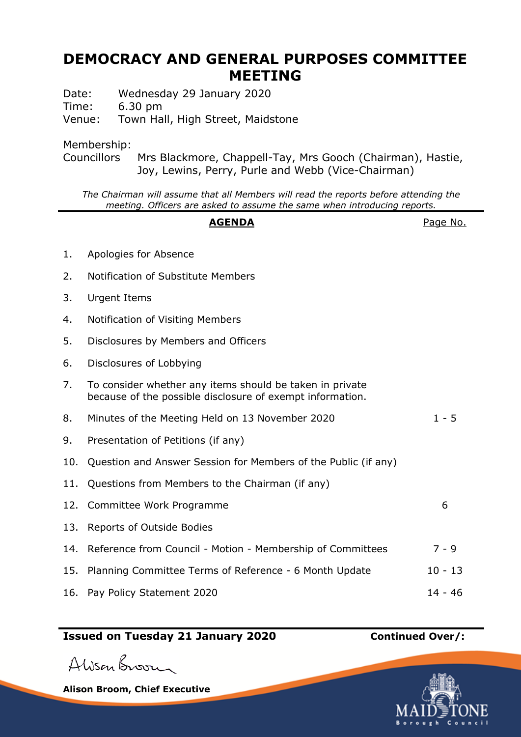## **DEMOCRACY AND GENERAL PURPOSES COMMITTEE MEETING**

Date: Wednesday 29 January 2020 Time: 6.30 pm Venue: Town Hall, High Street, Maidstone

Membership:

Councillors Mrs Blackmore, Chappell-Tay, Mrs Gooch (Chairman), Hastie, Joy, Lewins, Perry, Purle and Webb (Vice-Chairman)

*The Chairman will assume that all Members will read the reports before attending the meeting. Officers are asked to assume the same when introducing reports.*

## **AGENDA** Page No.

- 1. Apologies for Absence
- 2. Notification of Substitute Members
- 3. Urgent Items
- 4. Notification of Visiting Members
- 5. Disclosures by Members and Officers
- 6. Disclosures of Lobbying
- 7. To consider whether any items should be taken in private because of the possible disclosure of exempt information.
- 8. Minutes of the Meeting Held on 13 November 2020 1 5
- 9. Presentation of Petitions (if any)
- 10. Question and Answer Session for Members of the Public (if any)
- 11. Questions from Members to the Chairman (if any)
- 12. Committee Work Programme 6 13. Reports of Outside Bodies 14. Reference from Council - Motion - Membership of Committees 7 - 9 15. Planning Committee Terms of Reference - 6 Month Update 10 - 13 16. Pay Policy Statement 2020 14 - 46

## **Issued on Tuesday 21 January 2020 Continued Over/:**

Alisan Broom

**Alison Broom, Chief Executive**